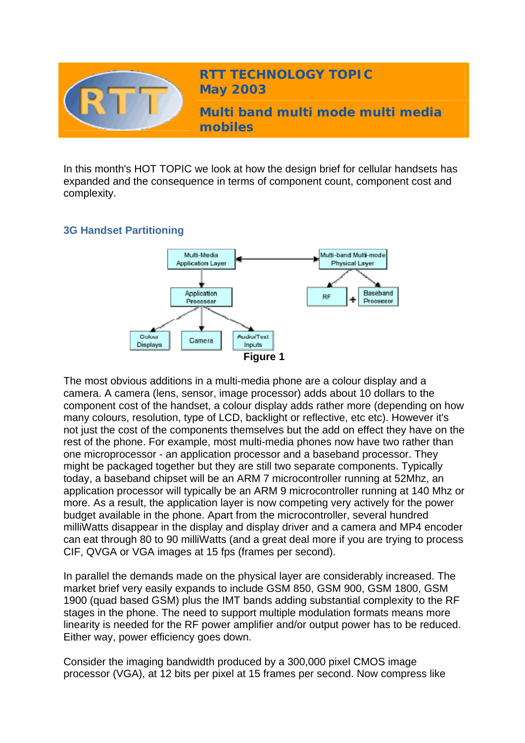

In this month's HOT TOPIC we look at how the design brief for cellular handsets has expanded and the consequence in terms of component count, component cost and complexity.

## **3G Handset Partitioning**



The most obvious additions in a multi-media phone are a colour display and a camera. A camera (lens, sensor, image processor) adds about 10 dollars to the component cost of the handset, a colour display adds rather more (depending on how many colours, resolution, type of LCD, backlight or reflective, etc etc). However it's not just the cost of the components themselves but the add on effect they have on the rest of the phone. For example, most multi-media phones now have two rather than one microprocessor - an application processor and a baseband processor. They might be packaged together but they are still two separate components. Typically today, a baseband chipset will be an ARM 7 microcontroller running at 52Mhz, an application processor will typically be an ARM 9 microcontroller running at 140 Mhz or more. As a result, the application layer is now competing very actively for the power budget available in the phone. Apart from the microcontroller, several hundred milliWatts disappear in the display and display driver and a camera and MP4 encoder can eat through 80 to 90 milliWatts (and a great deal more if you are trying to process CIF, QVGA or VGA images at 15 fps (frames per second).

In parallel the demands made on the physical layer are considerably increased. The market brief very easily expands to include GSM 850, GSM 900, GSM 1800, GSM 1900 (quad based GSM) plus the IMT bands adding substantial complexity to the RF stages in the phone. The need to support multiple modulation formats means more linearity is needed for the RF power amplifier and/or output power has to be reduced. Either way, power efficiency goes down.

Consider the imaging bandwidth produced by a 300,000 pixel CMOS image processor (VGA), at 12 bits per pixel at 15 frames per second. Now compress like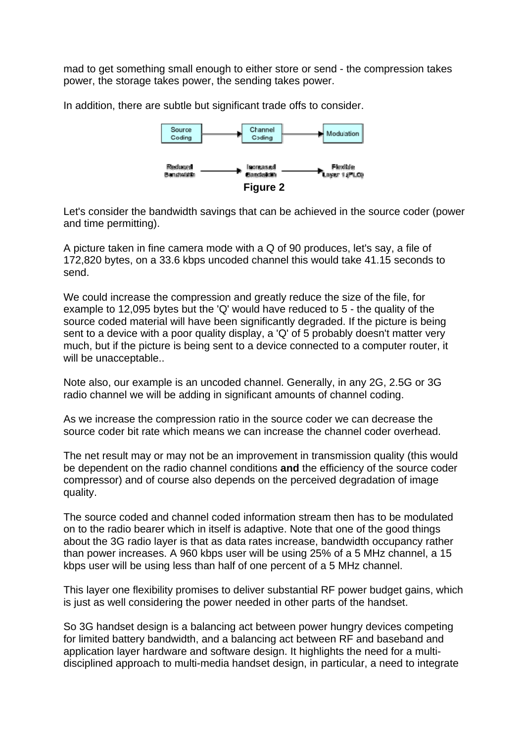mad to get something small enough to either store or send - the compression takes power, the storage takes power, the sending takes power.

In addition, there are subtle but significant trade offs to consider.



Let's consider the bandwidth savings that can be achieved in the source coder (power and time permitting).

A picture taken in fine camera mode with a Q of 90 produces, let's say, a file of 172,820 bytes, on a 33.6 kbps uncoded channel this would take 41.15 seconds to send.

We could increase the compression and greatly reduce the size of the file, for example to 12,095 bytes but the 'Q' would have reduced to 5 - the quality of the source coded material will have been significantly degraded. If the picture is being sent to a device with a poor quality display, a 'Q' of 5 probably doesn't matter very much, but if the picture is being sent to a device connected to a computer router, it will be unacceptable..

Note also, our example is an uncoded channel. Generally, in any 2G, 2.5G or 3G radio channel we will be adding in significant amounts of channel coding.

As we increase the compression ratio in the source coder we can decrease the source coder bit rate which means we can increase the channel coder overhead.

The net result may or may not be an improvement in transmission quality (this would be dependent on the radio channel conditions **and** the efficiency of the source coder compressor) and of course also depends on the perceived degradation of image quality.

The source coded and channel coded information stream then has to be modulated on to the radio bearer which in itself is adaptive. Note that one of the good things about the 3G radio layer is that as data rates increase, bandwidth occupancy rather than power increases. A 960 kbps user will be using 25% of a 5 MHz channel, a 15 kbps user will be using less than half of one percent of a 5 MHz channel.

This layer one flexibility promises to deliver substantial RF power budget gains, which is just as well considering the power needed in other parts of the handset.

So 3G handset design is a balancing act between power hungry devices competing for limited battery bandwidth, and a balancing act between RF and baseband and application layer hardware and software design. It highlights the need for a multidisciplined approach to multi-media handset design, in particular, a need to integrate